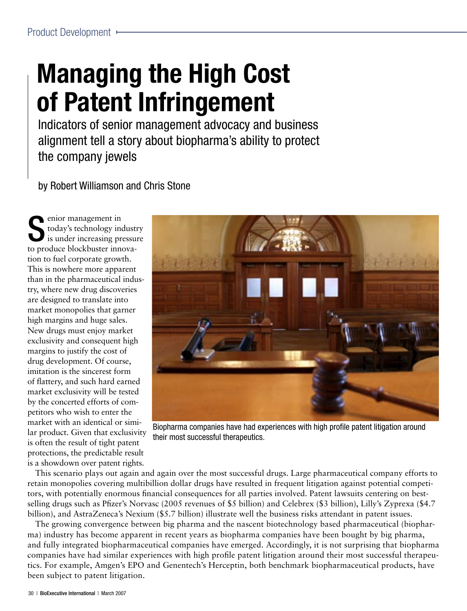# **Managing the High Cost of Patent Infringement**

Indicators of senior management advocacy and business alignment tell a story about biopharma's ability to protect the company jewels

by Robert Williamson and Chris Stone

Senior management in<br>
today's technology inc<br>
is under increasing pro today's technology industry is under increasing pressure to produce blockbuster innovation to fuel corporate growth. This is nowhere more apparent than in the pharmaceutical industry, where new drug discoveries are designed to translate into market monopolies that garner high margins and huge sales. New drugs must enjoy market exclusivity and consequent high margins to justify the cost of drug development. Of course, imitation is the sincerest form of flattery, and such hard earned market exclusivity will be tested by the concerted efforts of competitors who wish to enter the market with an identical or similar product. Given that exclusivity is often the result of tight patent protections, the predictable result is a showdown over patent rights.



Biopharma companies have had experiences with high profile patent litigation around their most successful therapeutics.

This scenario plays out again and again over the most successful drugs. Large pharmaceutical company efforts to retain monopolies covering multibillion dollar drugs have resulted in frequent litigation against potential competitors, with potentially enormous financial consequences for all parties involved. Patent lawsuits centering on bestselling drugs such as Pfizer's Norvasc (2005 revenues of \$5 billion) and Celebrex (\$3 billion), Lilly's Zyprexa (\$4.7 billion), and AstraZeneca's Nexium (\$5.7 billion) illustrate well the business risks attendant in patent issues.

The growing convergence between big pharma and the nascent biotechnology based pharmaceutical (biopharma) industry has become apparent in recent years as biopharma companies have been bought by big pharma, and fully integrated biopharmaceutical companies have emerged. Accordingly, it is not surprising that biopharma companies have had similar experiences with high profile patent litigation around their most successful therapeutics. For example, Amgen's EPO and Genentech's Herceptin, both benchmark biopharmaceutical products, have been subject to patent litigation.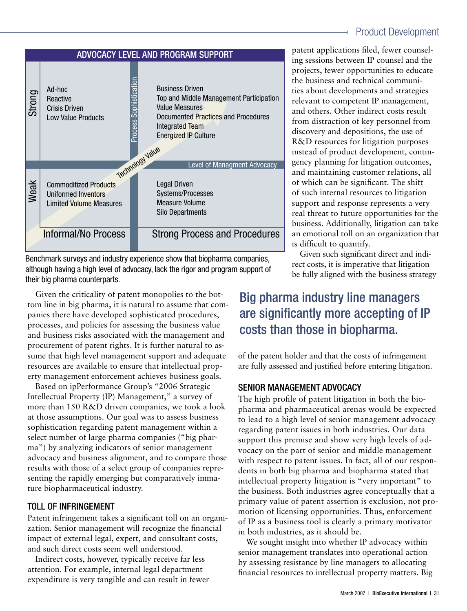



Benchmark surveys and industry experience show that biopharma companies, although having a high level of advocacy, lack the rigor and program support of their big pharma counterparts.

Given the criticality of patent monopolies to the bottom line in big pharma, it is natural to assume that companies there have developed sophisticated procedures, processes, and policies for assessing the business value and business risks associated with the management and procurement of patent rights. It is further natural to assume that high level management support and adequate resources are available to ensure that intellectual property management enforcement achieves business goals.

Based on ipPerformance Group's "2006 Strategic Intellectual Property (IP) Management," a survey of more than 150 R&D driven companies, we took a look at those assumptions. Our goal was to assess business sophistication regarding patent management within a select number of large pharma companies ("big pharma") by analyzing indicators of senior management advocacy and business alignment, and to compare those results with those of a select group of companies representing the rapidly emerging but comparatively immature biopharmaceutical industry.

#### TOLL OF INFRINGEMENT

Patent infringement takes a significant toll on an organization. Senior management will recognize the financial impact of external legal, expert, and consultant costs, and such direct costs seem well understood.

Indirect costs, however, typically receive far less attention. For example, internal legal department expenditure is very tangible and can result in fewer

patent applications filed, fewer counseling sessions between IP counsel and the projects, fewer opportunities to educate the business and technical communities about developments and strategies relevant to competent IP management, and others. Other indirect costs result from distraction of key personnel from discovery and depositions, the use of R&D resources for litigation purposes instead of product development, contingency planning for litigation outcomes, and maintaining customer relations, all of which can be significant. The shift of such internal resources to litigation support and response represents a very real threat to future opportunities for the business. Additionally, litigation can take an emotional toll on an organization that is difficult to quantify.

Given such significant direct and indirect costs, it is imperative that litigation be fully aligned with the business strategy

## Big pharma industry line managers are significantly more accepting of IP costs than those in biopharma.

of the patent holder and that the costs of infringement are fully assessed and justified before entering litigation.

#### **SENIOR MANAGEMENT ADVOCACY**

The high profile of patent litigation in both the biopharma and pharmaceutical arenas would be expected to lead to a high level of senior management advocacy regarding patent issues in both industries. Our data support this premise and show very high levels of advocacy on the part of senior and middle management with respect to patent issues. In fact, all of our respondents in both big pharma and biopharma stated that intellectual property litigation is "very important" to the business. Both industries agree conceptually that a primary value of patent assertion is exclusion, not promotion of licensing opportunities. Thus, enforcement of IP as a business tool is clearly a primary motivator in both industries, as it should be.

We sought insight into whether IP advocacy within senior management translates into operational action by assessing resistance by line managers to allocating financial resources to intellectual property matters. Big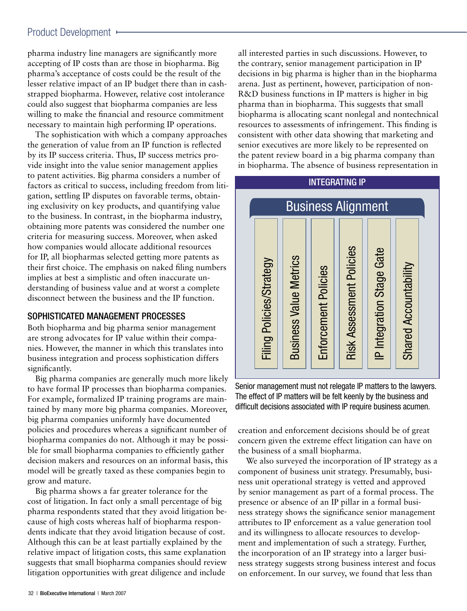#### Product Development ►

pharma industry line managers are significantly more accepting of IP costs than are those in biopharma. Big pharma's acceptance of costs could be the result of the lesser relative impact of an IP budget there than in cashstrapped biopharma. However, relative cost intolerance could also suggest that biopharma companies are less willing to make the financial and resource commitment necessary to maintain high performing IP operations.

The sophistication with which a company approaches the generation of value from an IP function is reflected by its IP success criteria. Thus, IP success metrics provide insight into the value senior management applies to patent activities. Big pharma considers a number of factors as critical to success, including freedom from litigation, settling IP disputes on favorable terms, obtaining exclusivity on key products, and quantifying value to the business. In contrast, in the biopharma industry, obtaining more patents was considered the number one criteria for measuring success. Moreover, when asked how companies would allocate additional resources for IP, all biopharmas selected getting more patents as their first choice. The emphasis on naked filing numbers implies at best a simplistic and often inaccurate understanding of business value and at worst a complete disconnect between the business and the IP function.

#### SOPHISTICATED MANAGEMENT PROCESSES

Both biopharma and big pharma senior management are strong advocates for IP value within their companies. However, the manner in which this translates into business integration and process sophistication differs significantly.

Big pharma companies are generally much more likely to have formal IP processes than biopharma companies. For example, formalized IP training programs are maintained by many more big pharma companies. Moreover, big pharma companies uniformly have documented policies and procedures whereas a significant number of biopharma companies do not. Although it may be possible for small biopharma companies to efficiently gather decision makers and resources on an informal basis, this model will be greatly taxed as these companies begin to grow and mature.

Big pharma shows a far greater tolerance for the cost of litigation. In fact only a small percentage of big pharma respondents stated that they avoid litigation because of high costs whereas half of biopharma respondents indicate that they avoid litigation because of cost. Although this can be at least partially explained by the relative impact of litigation costs, this same explanation suggests that small biopharma companies should review litigation opportunities with great diligence and include

all interested parties in such discussions. However, to the contrary, senior management participation in IP decisions in big pharma is higher than in the biopharma arena. Just as pertinent, however, participation of non-R&D business functions in IP matters is higher in big pharma than in biopharma. This suggests that small biopharma is allocating scant nonlegal and nontechnical resources to assessments of infringement. This finding is consistent with other data showing that marketing and senior executives are more likely to be represented on the patent review board in a big pharma company than in biopharma. The absence of business representation in

# **INTEGRATING IP**



Senior management must not relegate IP matters to the lawyers. The effect of IP matters will be felt keenly by the business and difficult decisions associated with IP require business acumen.

creation and enforcement decisions should be of great concern given the extreme effect litigation can have on the business of a small biopharma.

We also surveyed the incorporation of IP strategy as a component of business unit strategy. Presumably, business unit operational strategy is vetted and approved by senior management as part of a formal process. The presence or absence of an IP pillar in a formal business strategy shows the significance senior management attributes to IP enforcement as a value generation tool and its willingness to allocate resources to development and implementation of such a strategy. Further, the incorporation of an IP strategy into a larger business strategy suggests strong business interest and focus on enforcement. In our survey, we found that less than